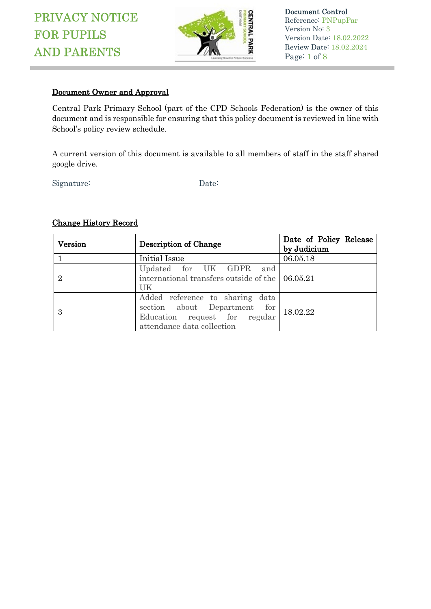

Document Control Reference: PNPupPar Version No: 3 Version Date: 18.02.2022 Review Date: 18.02.2024 Page: 1 of 8

## Document Owner and Approval

Central Park Primary School (part of the CPD Schools Federation) is the owner of this document and is responsible for ensuring that this policy document is reviewed in line with School's policy review schedule.

A current version of this document is available to all members of staff in the staff shared google drive.

Signature: Date:

## Change History Record

| Version        | Description of Change                                                                                                          | Date of Policy Release<br>by Judicium |
|----------------|--------------------------------------------------------------------------------------------------------------------------------|---------------------------------------|
|                | Initial Issue                                                                                                                  | 06.05.18                              |
| $\overline{2}$ | Updated for UK GDPR<br>and<br>international transfers outside of the 06.05.21<br>UK                                            |                                       |
| 3              | Added reference to sharing data<br>section about Department for<br>Education request for regular<br>attendance data collection | 18.02.22                              |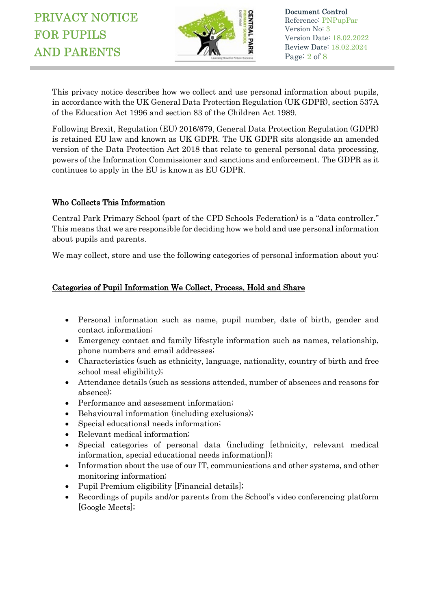

Document Control Reference: PNPupPar Version No: 3 Version Date: 18.02.2022 Review Date: 18.02.2024 Page: 2 of 8

This privacy notice describes how we collect and use personal information about pupils, in accordance with the UK General Data Protection Regulation (UK GDPR), section 537A of the Education Act 1996 and section 83 of the Children Act 1989.

Following Brexit, Regulation (EU) 2016/679, General Data Protection Regulation (GDPR) is retained EU law and known as UK GDPR. The UK GDPR sits alongside an amended version of the Data Protection Act 2018 that relate to general personal data processing, powers of the Information Commissioner and sanctions and enforcement. The GDPR as it continues to apply in the EU is known as EU GDPR.

# Who Collects This Information

Central Park Primary School (part of the CPD Schools Federation) is a "data controller." This means that we are responsible for deciding how we hold and use personal information about pupils and parents.

We may collect, store and use the following categories of personal information about you:

# Categories of Pupil Information We Collect, Process, Hold and Share

- Personal information such as name, pupil number, date of birth, gender and contact information;
- Emergency contact and family lifestyle information such as names, relationship, phone numbers and email addresses;
- Characteristics (such as ethnicity, language, nationality, country of birth and free school meal eligibility);
- Attendance details (such as sessions attended, number of absences and reasons for absence);
- Performance and assessment information;
- Behavioural information (including exclusions);
- Special educational needs information;
- Relevant medical information;
- Special categories of personal data (including [ethnicity, relevant medical information, special educational needs information]);
- Information about the use of our IT, communications and other systems, and other monitoring information;
- Pupil Premium eligibility [Financial details];
- Recordings of pupils and/or parents from the School's video conferencing platform [Google Meets];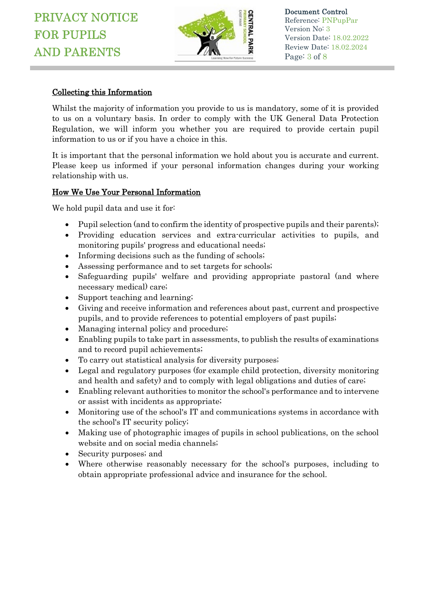

Document Control Reference: PNPupPar Version No: 3 Version Date: 18.02.2022 Review Date: 18.02.2024 Page: 3 of 8

#### Collecting this Information

Whilst the majority of information you provide to us is mandatory, some of it is provided to us on a voluntary basis. In order to comply with the UK General Data Protection Regulation, we will inform you whether you are required to provide certain pupil information to us or if you have a choice in this.

It is important that the personal information we hold about you is accurate and current. Please keep us informed if your personal information changes during your working relationship with us.

## How We Use Your Personal Information

We hold pupil data and use it for:

- Pupil selection (and to confirm the identity of prospective pupils and their parents);
- Providing education services and extra-curricular activities to pupils, and monitoring pupils' progress and educational needs;
- Informing decisions such as the funding of schools;
- Assessing performance and to set targets for schools;
- Safeguarding pupils' welfare and providing appropriate pastoral (and where necessary medical) care;
- Support teaching and learning;
- Giving and receive information and references about past, current and prospective pupils, and to provide references to potential employers of past pupils;
- Managing internal policy and procedure;
- Enabling pupils to take part in assessments, to publish the results of examinations and to record pupil achievements;
- To carry out statistical analysis for diversity purposes;
- Legal and regulatory purposes (for example child protection, diversity monitoring and health and safety) and to comply with legal obligations and duties of care;
- Enabling relevant authorities to monitor the school's performance and to intervene or assist with incidents as appropriate;
- Monitoring use of the school's IT and communications systems in accordance with the school's IT security policy;
- Making use of photographic images of pupils in school publications, on the school website and on social media channels;
- Security purposes; and
- Where otherwise reasonably necessary for the school's purposes, including to obtain appropriate professional advice and insurance for the school.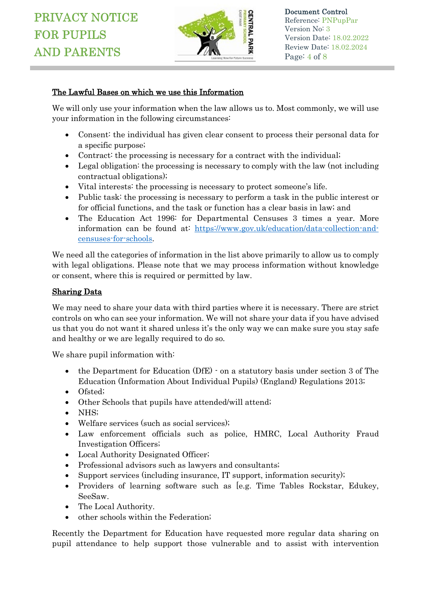

Document Control Reference: PNPupPar Version No: 3 Version Date: 18.02.2022 Review Date: 18.02.2024 Page: 4 of 8

## The Lawful Bases on which we use this Information

We will only use your information when the law allows us to. Most commonly, we will use your information in the following circumstances:

- Consent: the individual has given clear consent to process their personal data for a specific purpose;
- Contract: the processing is necessary for a contract with the individual;
- Legal obligation: the processing is necessary to comply with the law (not including contractual obligations);
- Vital interests: the processing is necessary to protect someone's life.
- Public task: the processing is necessary to perform a task in the public interest or for official functions, and the task or function has a clear basis in law; and
- The Education Act 1996: for Departmental Censuses 3 times a year. More information can be found at: [https://www.gov.uk/education/data-collection-and](https://www.gov.uk/education/data-collection-and-censuses-for-schools)[censuses-for-schools.](https://www.gov.uk/education/data-collection-and-censuses-for-schools)

We need all the categories of information in the list above primarily to allow us to comply with legal obligations. Please note that we may process information without knowledge or consent, where this is required or permitted by law.

## Sharing Data

We may need to share your data with third parties where it is necessary. There are strict controls on who can see your information. We will not share your data if you have advised us that you do not want it shared unless it's the only way we can make sure you stay safe and healthy or we are legally required to do so.

We share pupil information with:

- the Department for Education (DfE) on a statutory basis under section 3 of The Education (Information About Individual Pupils) (England) Regulations 2013;
- Ofsted;
- Other Schools that pupils have attended/will attend;
- NHS;
- Welfare services (such as social services);
- Law enforcement officials such as police, HMRC, Local Authority Fraud Investigation Officers;
- Local Authority Designated Officer;
- Professional advisors such as lawyers and consultants;
- Support services (including insurance, IT support, information security);
- Providers of learning software such as [e.g. Time Tables Rockstar, Edukey, SeeSaw.
- The Local Authority.
- other schools within the Federation;

Recently the Department for Education have requested more regular data sharing on pupil attendance to help support those vulnerable and to assist with intervention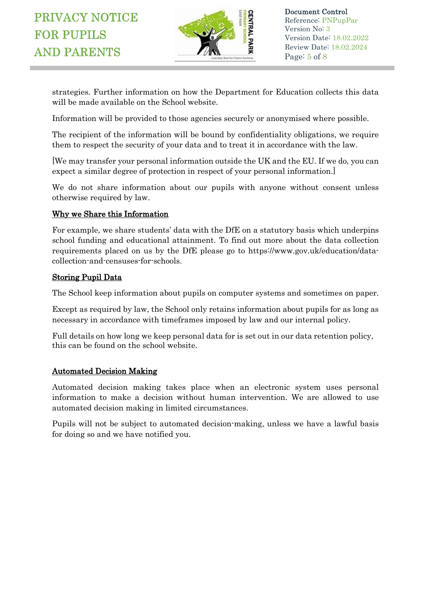

Document Control Reference: PNPupPar Version No: 3 Version Date: 18.02.2022 Review Date: 18.02.2024 Page: 5 of 8

strategies. Further information on how the Department for Education collects this data will be made available on the School website.

Information will be provided to those agencies securely or anonymised where possible.

The recipient of the information will be bound by confidentiality obligations, we require them to respect the security of your data and to treat it in accordance with the law.

[We may transfer your personal information outside the UK and the EU. If we do, you can expect a similar degree of protection in respect of your personal information.]

We do not share information about our pupils with anyone without consent unless otherwise required by law.

## Why we Share this Information

For example, we share students' data with the DfE on a statutory basis which underpins school funding and educational attainment. To find out more about the data collection requirements placed on us by the DfE please go to https://www.gov.uk/education/datacollection-and-censuses-for-schools.

## Storing Pupil Data

The School keep information about pupils on computer systems and sometimes on paper.

Except as required by law, the School only retains information about pupils for as long as necessary in accordance with timeframes imposed by law and our internal policy.

Full details on how long we keep personal data for is set out in our data retention policy, this can be found on the school website.

## Automated Decision Making

Automated decision making takes place when an electronic system uses personal information to make a decision without human intervention. We are allowed to use automated decision making in limited circumstances.

Pupils will not be subject to automated decision-making, unless we have a lawful basis for doing so and we have notified you.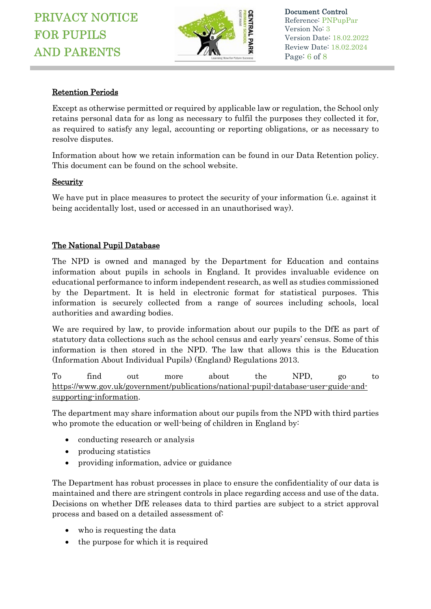

Document Control Reference: PNPupPar Version No: 3 Version Date: 18.02.2022 Review Date: 18.02.2024 Page: 6 of 8

## Retention Periods

Except as otherwise permitted or required by applicable law or regulation, the School only retains personal data for as long as necessary to fulfil the purposes they collected it for, as required to satisfy any legal, accounting or reporting obligations, or as necessary to resolve disputes.

Information about how we retain information can be found in our Data Retention policy. This document can be found on the school website.

## **Security**

We have put in place measures to protect the security of your information (i.e. against it being accidentally lost, used or accessed in an unauthorised way).

## The National Pupil Database

The NPD is owned and managed by the Department for Education and contains information about pupils in schools in England. It provides invaluable evidence on educational performance to inform independent research, as well as studies commissioned by the Department. It is held in electronic format for statistical purposes. This information is securely collected from a range of sources including schools, local authorities and awarding bodies.

We are required by law, to provide information about our pupils to the DfE as part of statutory data collections such as the school census and early years' census. Some of this information is then stored in the NPD. The law that allows this is the Education (Information About Individual Pupils) (England) Regulations 2013.

To find out more about the NPD, go to [https://www.gov.uk/government/publications/national-pupil-database-user-guide-and](https://www.gov.uk/government/publications/national-pupil-database-user-guide-and-supporting-information)[supporting-information.](https://www.gov.uk/government/publications/national-pupil-database-user-guide-and-supporting-information)

The department may share information about our pupils from the NPD with third parties who promote the education or well-being of children in England by:

- conducting research or analysis
- producing statistics
- providing information, advice or guidance

The Department has robust processes in place to ensure the confidentiality of our data is maintained and there are stringent controls in place regarding access and use of the data. Decisions on whether DfE releases data to third parties are subject to a strict approval process and based on a detailed assessment of:

- who is requesting the data
- the purpose for which it is required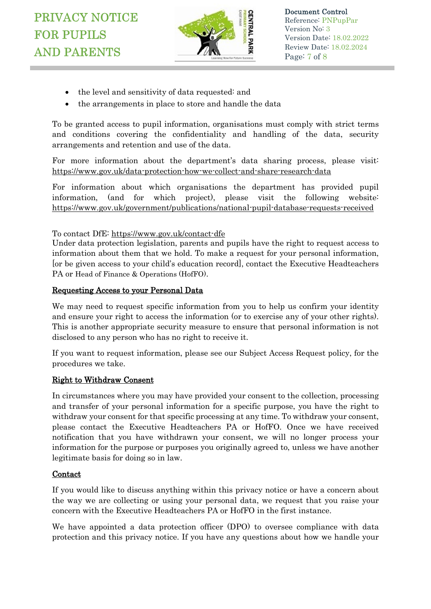

Document Control Reference: PNPupPar Version No: 3 Version Date: 18.02.2022 Review Date: 18.02.2024 Page: 7 of 8

- the level and sensitivity of data requested: and
- the arrangements in place to store and handle the data

To be granted access to pupil information, organisations must comply with strict terms and conditions covering the confidentiality and handling of the data, security arrangements and retention and use of the data.

For more information about the department's data sharing process, please visit: <https://www.gov.uk/data-protection-how-we-collect-and-share-research-data>

For information about which organisations the department has provided pupil information, (and for which project), please visit the following website: <https://www.gov.uk/government/publications/national-pupil-database-requests-received>

## To contact DfE:<https://www.gov.uk/contact-dfe>

Under data protection legislation, parents and pupils have the right to request access to information about them that we hold. To make a request for your personal information, [or be given access to your child's education record], contact the Executive Headteachers PA or Head of Finance & Operations (HofFO).

#### Requesting Access to your Personal Data

We may need to request specific information from you to help us confirm your identity and ensure your right to access the information (or to exercise any of your other rights). This is another appropriate security measure to ensure that personal information is not disclosed to any person who has no right to receive it.

If you want to request information, please see our Subject Access Request policy, for the procedures we take.

#### Right to Withdraw Consent

In circumstances where you may have provided your consent to the collection, processing and transfer of your personal information for a specific purpose, you have the right to withdraw your consent for that specific processing at any time. To withdraw your consent, please contact the Executive Headteachers PA or HofFO. Once we have received notification that you have withdrawn your consent, we will no longer process your information for the purpose or purposes you originally agreed to, unless we have another legitimate basis for doing so in law.

#### Contact

If you would like to discuss anything within this privacy notice or have a concern about the way we are collecting or using your personal data, we request that you raise your concern with the Executive Headteachers PA or HofFO in the first instance.

We have appointed a data protection officer (DPO) to oversee compliance with data protection and this privacy notice. If you have any questions about how we handle your